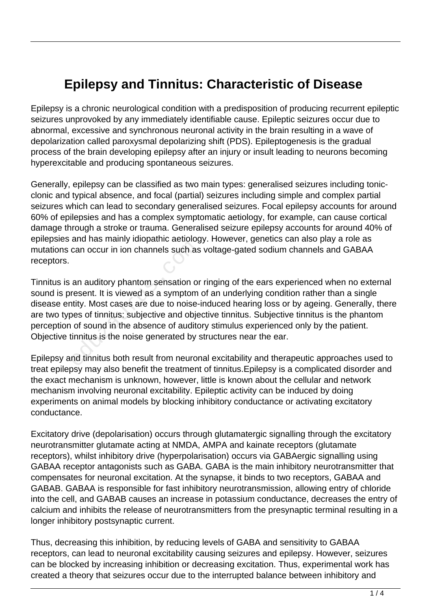## **Epilepsy and Tinnitus: Characteristic of Disease**

Epilepsy is a chronic neurological condition with a predisposition of producing recurrent epileptic seizures unprovoked by any immediately identifiable cause. Epileptic seizures occur due to abnormal, excessive and synchronous neuronal activity in the brain resulting in a wave of depolarization called paroxysmal depolarizing shift (PDS). Epileptogenesis is the gradual process of the brain developing epilepsy after an injury or insult leading to neurons becoming hyperexcitable and producing spontaneous seizures.

Generally, epilepsy can be classified as two main types: generalised seizures including tonicclonic and typical absence, and focal (partial) seizures including simple and complex partial seizures which can lead to secondary generalised seizures. Focal epilepsy accounts for around 60% of epilepsies and has a complex symptomatic aetiology, for example, can cause cortical damage through a stroke or trauma. Generalised seizure epilepsy accounts for around 40% of epilepsies and has mainly idiopathic aetiology. However, genetics can also play a role as mutations can occur in ion channels such as voltage-gated sodium channels and GABAA receptors.

Tinnitus is an auditory phantom sensation or ringing of the ears experienced when no external sound is present. It is viewed as a symptom of an underlying condition rather than a single disease entity. Most cases are due to noise-induced hearing loss or by ageing. Generally, there are two types of tinnitus: subjective and objective tinnitus. Subjective tinnitus is the phantom perception of sound in the absence of auditory stimulus experienced only by the patient. Objective tinnitus is the noise generated by structures near the ear. educional manufacture in the manufacture intensity<br>can occur in ion channels such as<br>an auditory phantom sensation or<br>resent. It is viewed as a symptom<br>tity. Most cases are due to noise-<br>of sound in the absence of auditor<br>

Epilepsy and tinnitus both result from neuronal excitability and therapeutic approaches used to treat epilepsy may also benefit the treatment of tinnitus.Epilepsy is a complicated disorder and the exact mechanism is unknown, however, little is known about the cellular and network mechanism involving neuronal excitability. Epileptic activity can be induced by doing experiments on animal models by blocking inhibitory conductance or activating excitatory conductance.

Excitatory drive (depolarisation) occurs through glutamatergic signalling through the excitatory neurotransmitter glutamate acting at NMDA, AMPA and kainate receptors (glutamate receptors), whilst inhibitory drive (hyperpolarisation) occurs via GABAergic signalling using GABAA receptor antagonists such as GABA. GABA is the main inhibitory neurotransmitter that compensates for neuronal excitation. At the synapse, it binds to two receptors, GABAA and GABAB. GABAA is responsible for fast inhibitory neurotransmission, allowing entry of chloride into the cell, and GABAB causes an increase in potassium conductance, decreases the entry of calcium and inhibits the release of neurotransmitters from the presynaptic terminal resulting in a longer inhibitory postsynaptic current.

Thus, decreasing this inhibition, by reducing levels of GABA and sensitivity to GABAA receptors, can lead to neuronal excitability causing seizures and epilepsy. However, seizures can be blocked by increasing inhibition or decreasing excitation. Thus, experimental work has created a theory that seizures occur due to the interrupted balance between inhibitory and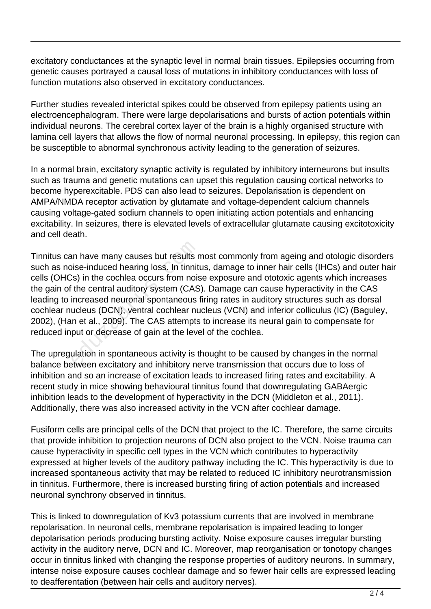excitatory conductances at the synaptic level in normal brain tissues. Epilepsies occurring from genetic causes portrayed a causal loss of mutations in inhibitory conductances with loss of function mutations also observed in excitatory conductances.

Further studies revealed interictal spikes could be observed from epilepsy patients using an electroencephalogram. There were large depolarisations and bursts of action potentials within individual neurons. The cerebral cortex layer of the brain is a highly organised structure with lamina cell layers that allows the flow of normal neuronal processing. In epilepsy, this region can be susceptible to abnormal synchronous activity leading to the generation of seizures.

In a normal brain, excitatory synaptic activity is regulated by inhibitory interneurons but insults such as trauma and genetic mutations can upset this regulation causing cortical networks to become hyperexcitable. PDS can also lead to seizures. Depolarisation is dependent on AMPA/NMDA receptor activation by glutamate and voltage-dependent calcium channels causing voltage-gated sodium channels to open initiating action potentials and enhancing excitability. In seizures, there is elevated levels of extracellular glutamate causing excitotoxicity and cell death.

Tinnitus can have many causes but results most commonly from ageing and otologic disorders such as noise-induced hearing loss. In tinnitus, damage to inner hair cells (IHCs) and outer hair cells (OHCs) in the cochlea occurs from noise exposure and ototoxic agents which increases the gain of the central auditory system (CAS). Damage can cause hyperactivity in the CAS leading to increased neuronal spontaneous firing rates in auditory structures such as dorsal cochlear nucleus (DCN), ventral cochlear nucleus (VCN) and inferior colliculus (IC) (Baguley, 2002), (Han et al., 2009). The CAS attempts to increase its neural gain to compensate for reduced input or decrease of gain at the level of the cochlea. an have many causes but results r<br>pise-induced hearing loss. In tinnit<br>lise in the cochlea occurs from nois<br>i the central auditory system (CAS<br>increased neuronal spontaneous<br>ucleus (DCN), ventral cochlear nu<br>n et al., 2009

The upregulation in spontaneous activity is thought to be caused by changes in the normal balance between excitatory and inhibitory nerve transmission that occurs due to loss of inhibition and so an increase of excitation leads to increased firing rates and excitability. A recent study in mice showing behavioural tinnitus found that downregulating GABAergic inhibition leads to the development of hyperactivity in the DCN (Middleton et al., 2011). Additionally, there was also increased activity in the VCN after cochlear damage.

Fusiform cells are principal cells of the DCN that project to the IC. Therefore, the same circuits that provide inhibition to projection neurons of DCN also project to the VCN. Noise trauma can cause hyperactivity in specific cell types in the VCN which contributes to hyperactivity expressed at higher levels of the auditory pathway including the IC. This hyperactivity is due to increased spontaneous activity that may be related to reduced IC inhibitory neurotransmission in tinnitus. Furthermore, there is increased bursting firing of action potentials and increased neuronal synchrony observed in tinnitus.

This is linked to downregulation of Kv3 potassium currents that are involved in membrane repolarisation. In neuronal cells, membrane repolarisation is impaired leading to longer depolarisation periods producing bursting activity. Noise exposure causes irregular bursting activity in the auditory nerve, DCN and IC. Moreover, map reorganisation or tonotopy changes occur in tinnitus linked with changing the response properties of auditory neurons. In summary, intense noise exposure causes cochlear damage and so fewer hair cells are expressed leading to deafferentation (between hair cells and auditory nerves).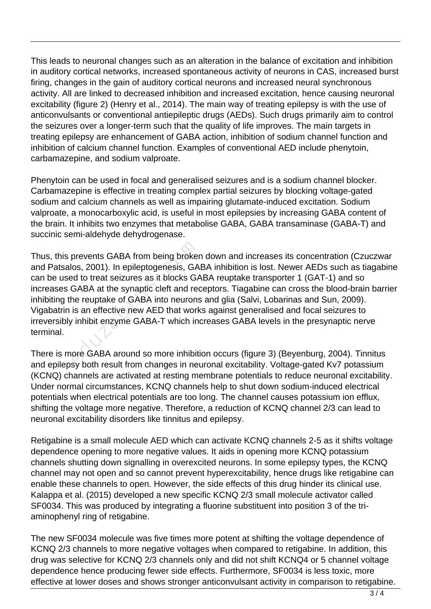This leads to neuronal changes such as an alteration in the balance of excitation and inhibition in auditory cortical networks, increased spontaneous activity of neurons in CAS, increased burst firing, changes in the gain of auditory cortical neurons and increased neural synchronous activity. All are linked to decreased inhibition and increased excitation, hence causing neuronal excitability (figure 2) (Henry et al., 2014). The main way of treating epilepsy is with the use of anticonvulsants or conventional antiepileptic drugs (AEDs). Such drugs primarily aim to control the seizures over a longer-term such that the quality of life improves. The main targets in treating epilepsy are enhancement of GABA action, inhibition of sodium channel function and inhibition of calcium channel function. Examples of conventional AED include phenytoin, carbamazepine, and sodium valproate.

Phenytoin can be used in focal and generalised seizures and is a sodium channel blocker. Carbamazepine is effective in treating complex partial seizures by blocking voltage-gated sodium and calcium channels as well as impairing glutamate-induced excitation. Sodium valproate, a monocarboxylic acid, is useful in most epilepsies by increasing GABA content of the brain. It inhibits two enzymes that metabolise GABA, GABA transaminase (GABA-T) and succinic semi-aldehyde dehydrogenase.

Thus, this prevents GABA from being broken down and increases its concentration (Czuczwar and Patsalos, 2001). In epileptogenesis, GABA inhibition is lost. Newer AEDs such as tiagabine can be used to treat seizures as it blocks GABA reuptake transporter 1 (GAT-1) and so increases GABA at the synaptic cleft and receptors. Tiagabine can cross the blood-brain barrier inhibiting the reuptake of GABA into neurons and glia (Salvi, Lobarinas and Sun, 2009). Vigabatrin is an effective new AED that works against generalised and focal seizures to irreversibly inhibit enzyme GABA-T which increases GABA levels in the presynaptic nerve terminal. prevents GABA from being broker<br>los, 2001). In epileptogenesis, GA<br>ed to treat seizures as it blocks GA<br>GABA at the synaptic cleft and rec<br>he reuptake of GABA into neurons<br>is an effective new AED that work<br>inhibit enzyme G

There is more GABA around so more inhibition occurs (figure 3) (Beyenburg, 2004). Tinnitus and epilepsy both result from changes in neuronal excitability. Voltage-gated Kv7 potassium (KCNQ) channels are activated at resting membrane potentials to reduce neuronal excitability. Under normal circumstances, KCNQ channels help to shut down sodium-induced electrical potentials when electrical potentials are too long. The channel causes potassium ion efflux, shifting the voltage more negative. Therefore, a reduction of KCNQ channel 2/3 can lead to neuronal excitability disorders like tinnitus and epilepsy.

Retigabine is a small molecule AED which can activate KCNQ channels 2-5 as it shifts voltage dependence opening to more negative values. It aids in opening more KCNQ potassium channels shutting down signalling in overexcited neurons. In some epilepsy types, the KCNQ channel may not open and so cannot prevent hyperexcitability, hence drugs like retigabine can enable these channels to open. However, the side effects of this drug hinder its clinical use. Kalappa et al. (2015) developed a new specific KCNQ 2/3 small molecule activator called SF0034. This was produced by integrating a fluorine substituent into position 3 of the triaminophenyl ring of retigabine.

The new SF0034 molecule was five times more potent at shifting the voltage dependence of KCNQ 2/3 channels to more negative voltages when compared to retigabine. In addition, this drug was selective for KCNQ 2/3 channels only and did not shift KCNQ4 or 5 channel voltage dependence hence producing fewer side effects. Furthermore, SF0034 is less toxic, more effective at lower doses and shows stronger anticonvulsant activity in comparison to retigabine.